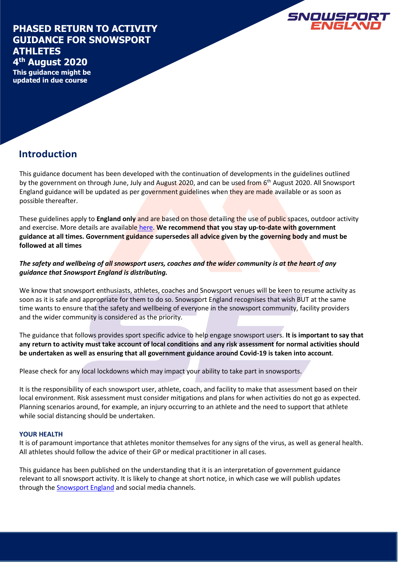### **PHASED RETURN TO ACTIVITY GUIDANCE FOR SNOWSPORT ATHLETES 4 th August 2020**

**SNOWSPORT**<br>ENGLAND

**This guidance might be updated in due course**

# **Introduction**

This guidance document has been developed with the continuation of developments in the guidelines outlined by the government on through June, July and August 2020, and can be used from 6<sup>th</sup> August 2020. All Snowsport England guidance will be updated as per government guidelines when they are made available or as soon as possible thereafter.

These guidelines apply to **England only** and are based on those detailing the use of public spaces, outdoor activity and exercise. More details are available [here.](https://www.gov.uk/government/publications/coronavirus-covid-19-guidance-on-phased-return-of-sport-and-recreation/guidance-for-the-public-on-the-phased-return-of-outdoor-sport-and-recreation) **We recommend that you stay up-to-date with government guidance at all times. Government guidance supersedes all advice given by the governing body and must be followed at all times**

### *The safety and wellbeing of all snowsport users, coaches and the wider community is at the heart of any guidance that Snowsport England is distributing.*

We know that snowsport enthusiasts, athletes, coaches and Snowsport venues will be keen to resume activity as soon as it is safe and appropriate for them to do so. Snowsport England recognises that wish BUT at the same time wants to ensure that the safety and wellbeing of everyone in the snowsport community, facility providers and the wider community is considered as the priority.

The guidance that follows provides sport specific advice to help engage snowsport users. **It is important to say that any return to activity must take account of local conditions and any risk assessment for normal activities should be undertaken as well as ensuring that all government guidance around Covid-19 is taken into account**.

Please check for any local lockdowns which may impact your ability to take part in snowsports.

It is the responsibility of each snowsport user, athlete, coach, and facility to make that assessment based on their local environment. Risk assessment must consider mitigations and plans for when activities do not go as expected. Planning scenarios around, for example, an injury occurring to an athlete and the need to support that athlete while social distancing should be undertaken.

### **YOUR HEALTH**

It is of paramount importance that athletes monitor themselves for any signs of the virus, as well as general health. All athletes should follow the advice of their GP or medical practitioner in all cases.

This guidance has been published on the understanding that it is an interpretation of government guidance relevant to all snowsport activity. It is likely to change at short notice, in which case we will publish updates through th[e Snowsport England](https://www.snowsportengland.org.uk/) and social media channels.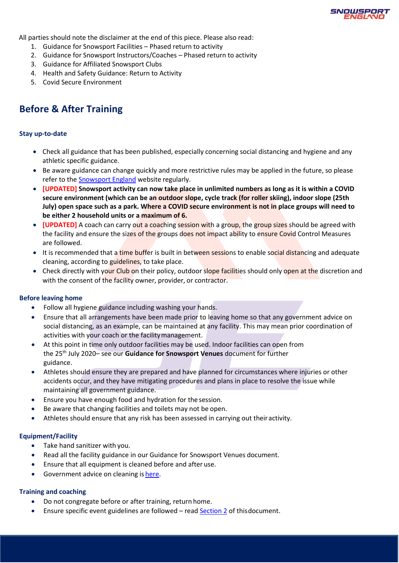

All parties should note the disclaimer at the end of this piece. Please also read:

- 1. Guidance for Snowsport Facilities Phased return to activity
- 2. Guidance for Snowsport Instructors/Coaches Phased return to activity
- 3. Guidance for Affiliated Snowsport Clubs
- 4. Health and Safety Guidance: Return to Activity
- 5. Covid Secure Environment

## **Before & After Training**

#### **Stay up-to-date**

- Check all guidance that has been published, especially concerning social distancing and hygiene and any athletic specific guidance.
- Be aware guidance can change quickly and more restrictive rules may be applied in the future, so please refer to the **[Snowsport England](https://www.snowsportengland.org.uk/news/)** website regularly.
- **[UPDATED] Snowsport activity can now take place in unlimited numbers as long as it is within a COVID secure environment (which can be an outdoor slope, cycle track (for roller skiing), indoor slope (25th July) open space such as a park. Where a COVID secure environment is not in place groups will need to be either 2 household units or a maximum of 6.**
- **[UPDATED]** A coach can carry out a coaching session with a group, the group sizes should be agreed with the facility and ensure the sizes of the groups does not impact ability to ensure Covid Control Measures are followed.
- It is recommended that a time buffer is built in between sessions to enable social distancing and adequate cleaning, according to guidelines, to take place.
- Check directly with your Club on their policy, outdoor slope facilities should only open at the discretion and with the consent of the facility owner, provider, or contractor.

#### **Before leaving home**

- Follow all hygiene guidance including washing your hands.
- Ensure that all arrangements have been made prior to leaving home so that any government advice on social distancing, as an example, can be maintained at any facility. This may mean prior coordination of activities with your coach or the facilitymanagement.
- At this point in time only outdoor facilities may be used. Indoor facilities can open from the 25th July 2020– see our **Guidance for Snowsport Venues** document for further guidance.
- Athletes should ensure they are prepared and have planned for circumstances where injuries or other accidents occur, and they have mitigating procedures and plans in place to resolve the issue while maintaining all government guidance.
- Ensure you have enough food and hydration for the session.
- Be aware that changing facilities and toilets may not be open.
- Athletes should ensure that any risk has been assessed in carrying out their activity.

#### **Equipment/Facility**

- Take hand sanitizer with you.
- Read all the facility guidance in our Guidance for Snowsport Venues document.
- Ensure that all equipment is cleaned before and after use.
- Government advice on cleaning is [here.](https://www.gov.uk/government/publications/covid-19-decontamination-in-non-healthcare-settings)

#### **Training and coaching**

- Do not congregate before or after training, return home.
- Ensure specific event guidelines are followed read **[Section 2](#page-4-0)** of thisdocument.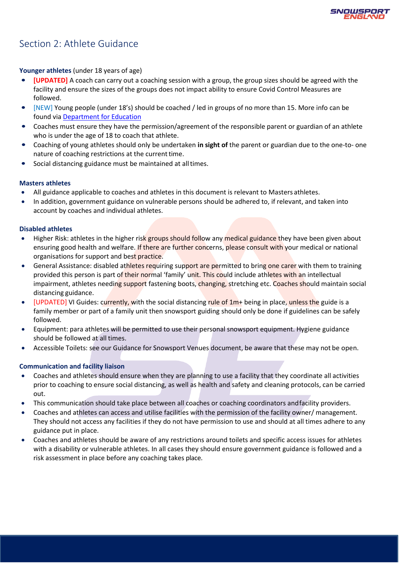

# Section 2: Athlete Guidance

**Younger athletes** (under 18 years of age)

- **[UPDATED]** A coach can carry out a coaching session with a group, the group sizes should be agreed with the facility and ensure the sizes of the groups does not impact ability to ensure Covid Control Measures are followed.
- [NEW] Young people (under 18's) should be coached / led in groups of no more than 15. More info can be found via [Department for Education](https://www.gov.uk/government/publications/protective-measures-for-holiday-or-after-school-clubs-and-other-out-of-school-settings-for-children-during-the-coronavirus-covid-19-outbreak/protective-measures-for-out-of-school-settings-during-the-coronavirus-covid-19-outbreak)
- Coaches must ensure they have the permission/agreement of the responsible parent or guardian of an athlete who is under the age of 18 to coach that athlete.
- Coaching of young athletes should only be undertaken **in sight of** the parent or guardian due to the one-to- one nature of coaching restrictions at the current time.
- Social distancing guidance must be maintained at all times.

#### **Masters athletes**

- All guidance applicable to coaches and athletes in this document is relevant to Masters athletes.
- In addition, government guidance on vulnerable persons should be adhered to, if relevant, and taken into account by coaches and individual athletes.

#### **Disabled athletes**

- Higher Risk: athletes in the higher risk groups should follow any medical guidance they have been given about ensuring good health and welfare. If there are further concerns, please consult with your medical or national organisations for support and best practice.
- General Assistance: disabled athletes requiring support are permitted to bring one carer with them to training provided this person is part of their normal 'family' unit. This could include athletes with an intellectual impairment, athletes needing support fastening boots, changing, stretching etc. Coaches should maintain social distancing guidance.
- [UPDATED] VI Guides: currently, with the social distancing rule of 1m+ being in place, unless the guide is a family member or part of a family unit then snowsport guiding should only be done if guidelines can be safely followed.
- Equipment: para athletes will be permitted to use their personal snowsport equipment. Hygiene guidance should be followed at all times.
- Accessible Toilets: see our Guidance for Snowsport Venues document, be aware that these may not be open.

### **Communication and facility liaison**

- Coaches and athletes should ensure when they are planning to use a facility that they coordinate all activities prior to coaching to ensure social distancing, as well as health and safety and cleaning protocols, can be carried out.
- This communication should take place between all coaches or coaching coordinators and facility providers.
- Coaches and athletes can access and utilise facilities with the permission of the facility owner/ management. They should not access any facilities if they do not have permission to use and should at all times adhere to any guidance put in place.
- Coaches and athletes should be aware of any restrictions around toilets and specific access issues for athletes with a disability or vulnerable athletes. In all cases they should ensure government guidance is followed and a risk assessment in place before any coaching takes place.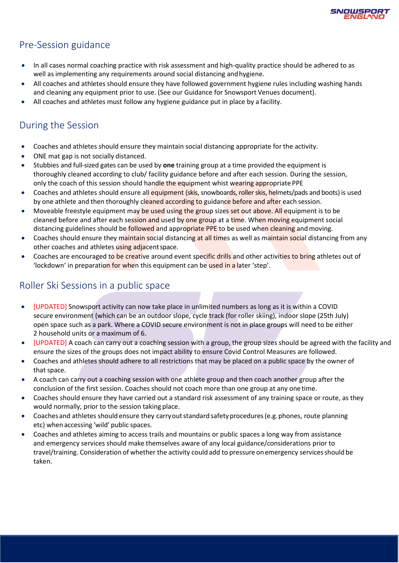

## Pre-Session guidance

- In all cases normal coaching practice with risk assessment and high-quality practice should be adhered to as well as implementing any requirements around social distancing andhygiene.
- All coaches and athletes should ensure they have followed government hygiene rules including washing hands and cleaning any equipment prior to use. (See our Guidance for Snowsport Venues document).
- All coaches and athletes must follow any hygiene guidance put in place by a facility.

# During the Session

- Coaches and athletes should ensure they maintain social distancing appropriate for the activity.
- ONE mat gap is not socially distanced.
- Stubbies and full-sized gates can be used by **one** training group at a time provided the equipment is thoroughly cleaned according to club/ facility guidance before and after each session. During the session, only the coach of this session should handle the equipment whist wearing appropriate PPE
- Coaches and athletes should ensure all equipment (skis, snowboards, roller skis, helmets/pads and boots) is used by one athlete and then thoroughly cleaned according to guidance before and after each session.
- Moveable freestyle equipment may be used using the group sizes set out above. All equipment is to be cleaned before and after each session and used by one group at a time. When moving equipment social distancing guidelines should be followed and appropriate PPE to be used when cleaning and moving.
- Coaches should ensure they maintain social distancing at all times as well as maintain social distancing from any other coaches and athletes using adjacent space.
- Coaches are encouraged to be creative around event specific drills and other activities to bring athletes out of 'lockdown' in preparation for when this equipment can be used in a later 'step'.

## Roller Ski Sessions in a public space

- [UPDATED] Snowsport activity can now take place in unlimited numbers as long as it is within a COVID secure environment (which can be an outdoor slope, cycle track (for roller skiing), indoor slope (25th July) open space such as a park. Where a COVID secure environment is not in place groups will need to be either 2 household units or a maximum of 6.
- [UPDATED] A coach can carry out a coaching session with a group, the group sizes should be agreed with the facility and ensure the sizes of the groups does not impact ability to ensure Covid Control Measures are followed.
- Coaches and athletes should adhere to all restrictions that may be placed on a public space by the owner of that space.
- A coach can carry out a coaching session with one athlete group and then coach another group after the conclusion of the first session. Coaches should not coach more than one group at any onetime.
- Coaches should ensure they have carried out a standard risk assessment of any training space or route, as they would normally, prior to the session taking place.
- Coaches and athletes should ensure they carryout standard safety procedures (e.g. phones, route planning etc) when accessing 'wild' public spaces.
- Coaches and athletes aiming to access trails and mountains or public spaces a long way from assistance and emergency services should make themselves aware of any local guidance/considerations prior to travel/training. Consideration of whether the activity could add to pressure onemergency servicesshould be taken.